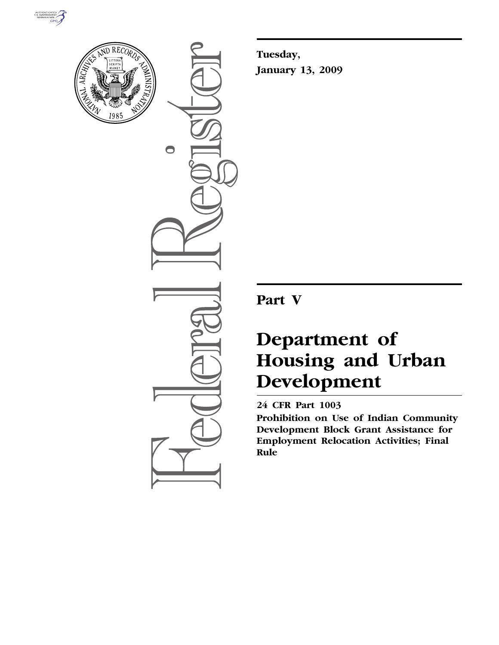



 $\bigcirc$ 

**Tuesday, January 13, 2009** 

# **Part V**

# **Department of Housing and Urban Development**

# **24 CFR Part 1003**

**Prohibition on Use of Indian Community Development Block Grant Assistance for Employment Relocation Activities; Final Rule**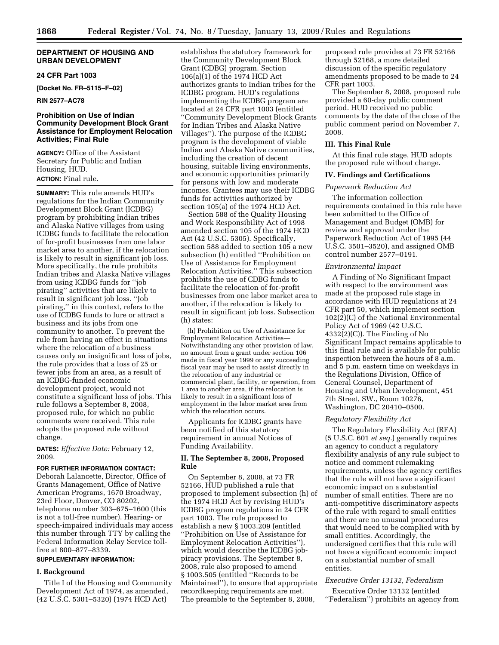# **DEPARTMENT OF HOUSING AND URBAN DEVELOPMENT**

# **24 CFR Part 1003**

**[Docket No. FR–5115–F–02]** 

# **RIN 2577–AC78**

# **Prohibition on Use of Indian Community Development Block Grant Assistance for Employment Relocation Activities; Final Rule**

**AGENCY:** Office of the Assistant Secretary for Public and Indian Housing, HUD. **ACTION:** Final rule.

**SUMMARY:** This rule amends HUD's regulations for the Indian Community Development Block Grant (ICDBG) program by prohibiting Indian tribes and Alaska Native villages from using ICDBG funds to facilitate the relocation of for-profit businesses from one labor market area to another, if the relocation is likely to result in significant job loss. More specifically, the rule prohibits Indian tribes and Alaska Native villages from using ICDBG funds for ''job pirating'' activities that are likely to result in significant job loss. ''Job pirating,'' in this context, refers to the use of ICDBG funds to lure or attract a business and its jobs from one community to another. To prevent the rule from having an effect in situations where the relocation of a business causes only an insignificant loss of jobs, the rule provides that a loss of 25 or fewer jobs from an area, as a result of an ICDBG-funded economic development project, would not constitute a significant loss of jobs. This rule follows a September 8, 2008, proposed rule, for which no public comments were received. This rule adopts the proposed rule without change.

**DATES:** *Effective Date:* February 12, 2009.

#### **FOR FURTHER INFORMATION CONTACT:**

Deborah Lalancette, Director, Office of Grants Management, Office of Native American Programs, 1670 Broadway, 23rd Floor, Denver, CO 80202, telephone number 303–675–1600 (this is not a toll-free number). Hearing- or speech-impaired individuals may access this number through TTY by calling the Federal Information Relay Service tollfree at 800–877–8339.

# **SUPPLEMENTARY INFORMATION:**

### **I. Background**

Title I of the Housing and Community Development Act of 1974, as amended, (42 U.S.C. 5301–5320) (1974 HCD Act)

establishes the statutory framework for the Community Development Block Grant (CDBG) program. Section 106(a)(1) of the 1974 HCD Act authorizes grants to Indian tribes for the ICDBG program. HUD's regulations implementing the ICDBG program are located at 24 CFR part 1003 (entitled ''Community Development Block Grants for Indian Tribes and Alaska Native Villages''). The purpose of the ICDBG program is the development of viable Indian and Alaska Native communities, including the creation of decent housing, suitable living environments, and economic opportunities primarily for persons with low and moderate incomes. Grantees may use their ICDBG funds for activities authorized by section 105(a) of the 1974 HCD Act.

Section 588 of the Quality Housing and Work Responsibility Act of 1998 amended section 105 of the 1974 HCD Act (42 U.S.C. 5305). Specifically, section 588 added to section 105 a new subsection (h) entitled ''Prohibition on Use of Assistance for Employment Relocation Activities.'' This subsection prohibits the use of CDBG funds to facilitate the relocation of for-profit businesses from one labor market area to another, if the relocation is likely to result in significant job loss. Subsection (h) states:

(h) Prohibition on Use of Assistance for Employment Relocation Activities— Notwithstanding any other provision of law, no amount from a grant under section 106 made in fiscal year 1999 or any succeeding fiscal year may be used to assist directly in the relocation of any industrial or commercial plant, facility, or operation, from 1 area to another area, if the relocation is likely to result in a significant loss of employment in the labor market area from which the relocation occurs.

Applicants for ICDBG grants have been notified of this statutory requirement in annual Notices of Funding Availability.

# **II. The September 8, 2008, Proposed Rule**

On September 8, 2008, at 73 FR 52166, HUD published a rule that proposed to implement subsection (h) of the 1974 HCD Act by revising HUD's ICDBG program regulations in 24 CFR part 1003. The rule proposed to establish a new § 1003.209 (entitled ''Prohibition on Use of Assistance for Employment Relocation Activities''), which would describe the ICDBG jobpiracy provisions. The September 8, 2008, rule also proposed to amend § 1003.505 (entitled ''Records to be Maintained''), to ensure that appropriate recordkeeping requirements are met. The preamble to the September 8, 2008,

proposed rule provides at 73 FR 52166 through 52168, a more detailed discussion of the specific regulatory amendments proposed to be made to 24 CFR part 1003.

The September 8, 2008, proposed rule provided a 60-day public comment period. HUD received no public comments by the date of the close of the public comment period on November 7, 2008.

# **III. This Final Rule**

At this final rule stage, HUD adopts the proposed rule without change.

#### **IV. Findings and Certifications**

# *Paperwork Reduction Act*

The information collection requirements contained in this rule have been submitted to the Office of Management and Budget (OMB) for review and approval under the Paperwork Reduction Act of 1995 (44 U.S.C. 3501–3520), and assigned OMB control number 2577–0191.

### *Environmental Impact*

A Finding of No Significant Impact with respect to the environment was made at the proposed rule stage in accordance with HUD regulations at 24 CFR part 50, which implement section 102(2)(C) of the National Environmental Policy Act of 1969 (42 U.S.C. 4332(2)(C)). The Finding of No Significant Impact remains applicable to this final rule and is available for public inspection between the hours of 8 a.m. and 5 p.m. eastern time on weekdays in the Regulations Division, Office of General Counsel, Department of Housing and Urban Development, 451 7th Street, SW., Room 10276, Washington, DC 20410–0500.

#### *Regulatory Flexibility Act*

The Regulatory Flexibility Act (RFA) (5 U.S.C. 601 *et seq.*) generally requires an agency to conduct a regulatory flexibility analysis of any rule subject to notice and comment rulemaking requirements, unless the agency certifies that the rule will not have a significant economic impact on a substantial number of small entities. There are no anti-competitive discriminatory aspects of the rule with regard to small entities and there are no unusual procedures that would need to be complied with by small entities. Accordingly, the undersigned certifies that this rule will not have a significant economic impact on a substantial number of small entities.

# *Executive Order 13132, Federalism*

Executive Order 13132 (entitled ''Federalism'') prohibits an agency from